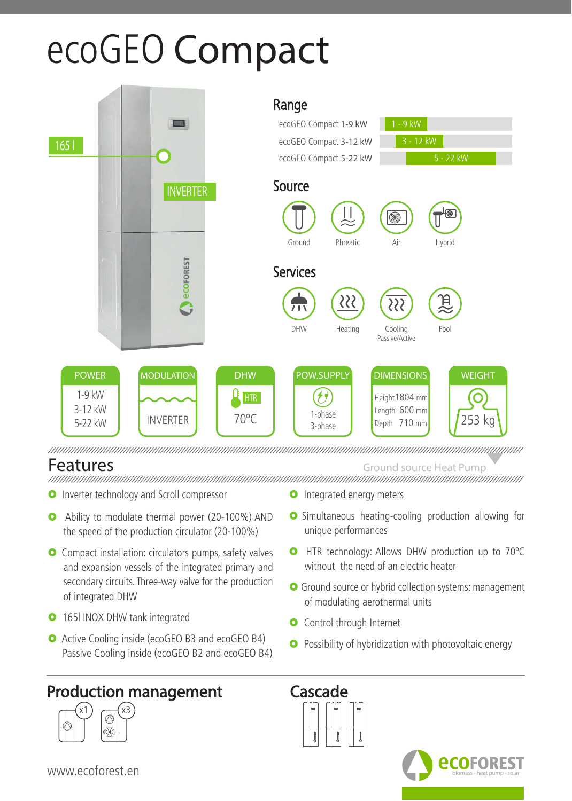## ecoGEO **Compact**



Features Ground source Heat Pump

- **O** Inverter technology and Scroll compressor
- Ability to modulate thermal power (20-100%) AND the speed of the production circulator (20-100%)
- **O** Compact installation: circulators pumps, safety valves and expansion vessels of the integrated primary and secondary circuits. Three-way valve for the production of integrated DHW
- **O** 165l INOX DHW tank integrated
- **O** Active Cooling inside (ecoGEO B3 and ecoGEO B4) Passive Cooling inside (ecoGEO B2 and ecoGEO B4)

## Production management Cascade



- **O** Integrated energy meters
- **O** Simultaneous heating-cooling production allowing for unique performances
- **O** HTR technology: Allows DHW production up to 70°C without the need of an electric heater
- **O** Ground source or hybrid collection systems: management of modulating aerothermal units
- **O** Control through Internet
- **O** Possibility of hybridization with photovoltaic energy